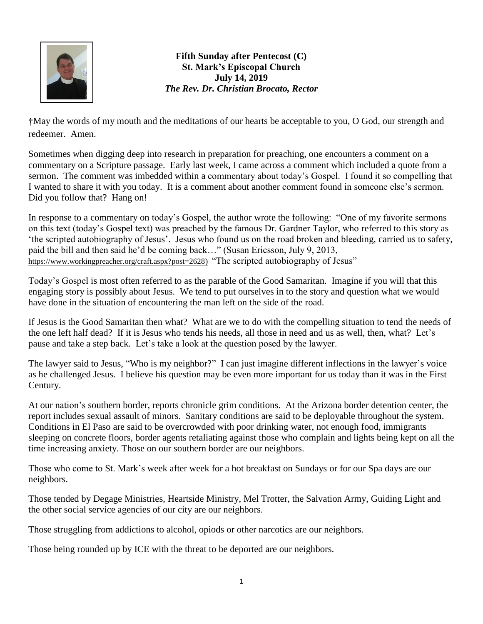

**Fifth Sunday after Pentecost (C) St. Mark's Episcopal Church July 14, 2019** *The Rev. Dr. Christian Brocato, Rector*

**†**May the words of my mouth and the meditations of our hearts be acceptable to you, O God, our strength and redeemer. Amen.

Sometimes when digging deep into research in preparation for preaching, one encounters a comment on a commentary on a Scripture passage. Early last week, I came across a comment which included a quote from a sermon. The comment was imbedded within a commentary about today's Gospel. I found it so compelling that I wanted to share it with you today. It is a comment about another comment found in someone else's sermon. Did you follow that? Hang on!

In response to a commentary on today's Gospel, the author wrote the following: "One of my favorite sermons on this text (today's Gospel text) was preached by the famous Dr. Gardner Taylor, who referred to this story as 'the scripted autobiography of Jesus'. Jesus who found us on the road broken and bleeding, carried us to safety, paid the bill and then said he'd be coming back…" (Susan Ericsson, July 9, 2013, [https://www.workingpreacher.org/craft.aspx?post=2628\)](https://www.workingpreacher.org/craft.aspx?post=2628) "The scripted autobiography of Jesus"

Today's Gospel is most often referred to as the parable of the Good Samaritan. Imagine if you will that this engaging story is possibly about Jesus. We tend to put ourselves in to the story and question what we would have done in the situation of encountering the man left on the side of the road.

If Jesus is the Good Samaritan then what? What are we to do with the compelling situation to tend the needs of the one left half dead? If it is Jesus who tends his needs, all those in need and us as well, then, what? Let's pause and take a step back. Let's take a look at the question posed by the lawyer.

The lawyer said to Jesus, "Who is my neighbor?" I can just imagine different inflections in the lawyer's voice as he challenged Jesus. I believe his question may be even more important for us today than it was in the First Century.

At our nation's southern border, reports chronicle grim conditions. At the Arizona border detention center, the report includes sexual assault of minors. Sanitary conditions are said to be deployable throughout the system. Conditions in El Paso are said to be overcrowded with poor drinking water, not enough food, immigrants sleeping on concrete floors, border agents retaliating against those who complain and lights being kept on all the time increasing anxiety. Those on our southern border are our neighbors.

Those who come to St. Mark's week after week for a hot breakfast on Sundays or for our Spa days are our neighbors.

Those tended by Degage Ministries, Heartside Ministry, Mel Trotter, the Salvation Army, Guiding Light and the other social service agencies of our city are our neighbors.

Those struggling from addictions to alcohol, opiods or other narcotics are our neighbors.

Those being rounded up by ICE with the threat to be deported are our neighbors.